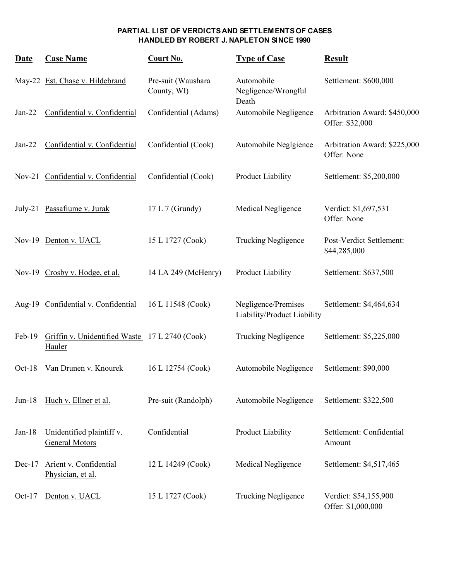| <b>Date</b> | <b>Case Name</b>                                         | Court No.                         | <b>Type of Case</b>                                | <b>Result</b>                                   |
|-------------|----------------------------------------------------------|-----------------------------------|----------------------------------------------------|-------------------------------------------------|
|             | May-22 Est. Chase v. Hildebrand                          | Pre-suit (Waushara<br>County, WI) | Automobile<br>Negligence/Wrongful<br>Death         | Settlement: \$600,000                           |
| $Jan-22$    | Confidential v. Confidential                             | Confidential (Adams)              | Automobile Negligence                              | Arbitration Award: \$450,000<br>Offer: \$32,000 |
| $Jan-22$    | Confidential v. Confidential                             | Confidential (Cook)               | Automobile Neglgience                              | Arbitration Award: \$225,000<br>Offer: None     |
|             | Nov-21 Confidential v. Confidential                      | Confidential (Cook)               | Product Liability                                  | Settlement: \$5,200,000                         |
|             | July-21 Passafiume v. Jurak                              | 17 L 7 (Grundy)                   | Medical Negligence                                 | Verdict: \$1,697,531<br>Offer: None             |
|             | Nov-19 Denton v. UACL                                    | 15 L 1727 (Cook)                  | <b>Trucking Negligence</b>                         | Post-Verdict Settlement:<br>\$44,285,000        |
|             | Nov-19 Crosby v. Hodge, et al.                           | 14 LA 249 (McHenry)               | Product Liability                                  | Settlement: \$637,500                           |
|             | Aug-19 Confidential v. Confidential                      | 16 L 11548 (Cook)                 | Negligence/Premises<br>Liability/Product Liability | Settlement: \$4,464,634                         |
| $Feb-19$    | Griffin v. Unidentified Waste 17 L 2740 (Cook)<br>Hauler |                                   | <b>Trucking Negligence</b>                         | Settlement: \$5,225,000                         |
| $Oct-18$    | Van Drunen v. Knourek                                    | 16 L 12754 (Cook)                 | Automobile Negligence                              | Settlement: \$90,000                            |
| $Jun-18$    | Huch v. Ellner et al.                                    | Pre-suit (Randolph)               | Automobile Negligence                              | Settlement: \$322,500                           |
| $Jan-18$    | Unidentified plaintiff v.<br><b>General Motors</b>       | Confidential                      | Product Liability                                  | Settlement: Confidential<br>Amount              |
| $Dec-17$    | Arient v. Confidential<br>Physician, et al.              | 12 L 14249 (Cook)                 | Medical Negligence                                 | Settlement: \$4,517,465                         |
| $Oct-17$    | Denton v. UACL                                           | 15 L 1727 (Cook)                  | <b>Trucking Negligence</b>                         | Verdict: \$54,155,900<br>Offer: \$1,000,000     |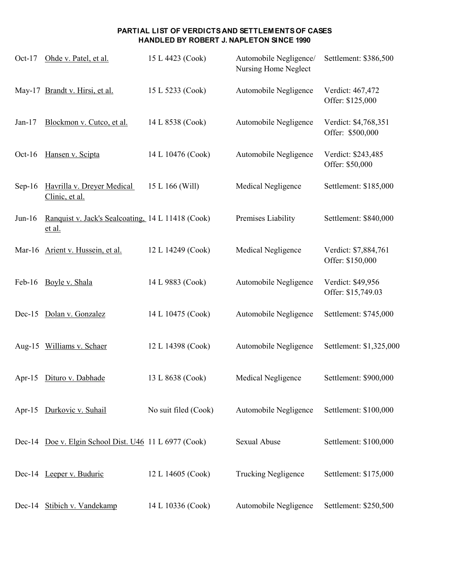| $Oct-17$  | Ohde v. Patel, et al.                                       | 15 L 4423 (Cook)     | Automobile Negligence/<br>Nursing Home Neglect | Settlement: \$386,500                    |
|-----------|-------------------------------------------------------------|----------------------|------------------------------------------------|------------------------------------------|
|           | May-17 Brandt v. Hirsi, et al.                              | 15 L 5233 (Cook)     | Automobile Negligence                          | Verdict: 467,472<br>Offer: \$125,000     |
| $Jan-17$  | Blockmon v. Cutco, et al.                                   | 14 L 8538 (Cook)     | Automobile Negligence                          | Verdict: \$4,768,351<br>Offer: \$500,000 |
| Oct- $16$ | Hansen v. Scipta                                            | 14 L 10476 (Cook)    | Automobile Negligence                          | Verdict: \$243,485<br>Offer: \$50,000    |
| $Sep-16$  | Havrilla v. Dreyer Medical<br>Clinic, et al.                | 15 L 166 (Will)      | Medical Negligence                             | Settlement: \$185,000                    |
| $Jun-16$  | Ranquist v. Jack's Sealcoating, 14 L 11418 (Cook)<br>et al. |                      | Premises Liability                             | Settlement: \$840,000                    |
|           | Mar-16 Arient v. Hussein, et al.                            | 12 L 14249 (Cook)    | Medical Negligence                             | Verdict: \$7,884,761<br>Offer: \$150,000 |
| Feb-16    | Boyle v. Shala                                              | 14 L 9883 (Cook)     | Automobile Negligence                          | Verdict: \$49,956<br>Offer: \$15,749.03  |
|           | Dec-15 Dolan v. Gonzalez                                    | 14 L 10475 (Cook)    | Automobile Negligence                          | Settlement: \$745,000                    |
|           | Aug-15 Williams v. Schaer                                   | 12 L 14398 (Cook)    | Automobile Negligence                          | Settlement: \$1,325,000                  |
|           | Apr-15 Dituro v. Dabhade                                    | 13 L 8638 (Cook)     | Medical Negligence                             | Settlement: \$900,000                    |
|           | Apr-15 Durkovic v. Suhail                                   | No suit filed (Cook) | Automobile Negligence                          | Settlement: \$100,000                    |
|           | Dec-14 Doe v. Elgin School Dist. U46 11 L 6977 (Cook)       |                      | Sexual Abuse                                   | Settlement: \$100,000                    |
|           | Dec-14 Leeper v. Buduric                                    | 12 L 14605 (Cook)    | <b>Trucking Negligence</b>                     | Settlement: \$175,000                    |
|           | Dec-14 Stibich v. Vandekamp                                 | 14 L 10336 (Cook)    | Automobile Negligence                          | Settlement: \$250,500                    |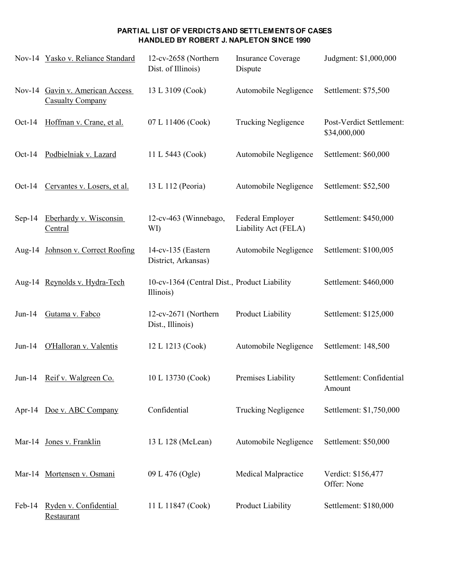|          | Nov-14 Yasko v. Reliance Standard                          | 12-cv-2658 (Northern<br>Dist. of Illinois)                | <b>Insurance Coverage</b><br>Dispute     | Judgment: \$1,000,000                    |
|----------|------------------------------------------------------------|-----------------------------------------------------------|------------------------------------------|------------------------------------------|
|          | Nov-14 Gavin v. American Access<br><b>Casualty Company</b> | 13 L 3109 (Cook)                                          | Automobile Negligence                    | Settlement: \$75,500                     |
| $Oct-14$ | Hoffman v. Crane, et al.                                   | 07 L 11406 (Cook)                                         | <b>Trucking Negligence</b>               | Post-Verdict Settlement:<br>\$34,000,000 |
| $Oct-14$ | Podbielniak v. Lazard                                      | 11 L 5443 (Cook)                                          | Automobile Negligence                    | Settlement: \$60,000                     |
| $Oct-14$ | Cervantes v. Losers, et al.                                | 13 L 112 (Peoria)                                         | Automobile Negligence                    | Settlement: \$52,500                     |
| $Sep-14$ | Eberhardy v. Wisconsin<br>Central                          | 12-cv-463 (Winnebago,<br>WI)                              | Federal Employer<br>Liability Act (FELA) | Settlement: \$450,000                    |
|          | Aug-14 Johnson v. Correct Roofing                          | 14-cv-135 (Eastern<br>District, Arkansas)                 | Automobile Negligence                    | Settlement: \$100,005                    |
|          | Aug-14 Reynolds v. Hydra-Tech                              | 10-cv-1364 (Central Dist., Product Liability<br>Illinois) |                                          | Settlement: \$460,000                    |
| $Jun-14$ | Gutama v. Fabco                                            | 12-cv-2671 (Northern<br>Dist., Illinois)                  | <b>Product Liability</b>                 | Settlement: \$125,000                    |
| $Jun-14$ | O'Halloran v. Valentis                                     | 12 L 1213 (Cook)                                          | Automobile Negligence                    | Settlement: 148,500                      |
|          | Jun-14 Reif v. Walgreen Co.                                | 10 L 13730 (Cook)                                         | Premises Liability                       | Settlement: Confidential<br>Amount       |
|          | Apr-14 Doe v. ABC Company                                  | Confidential                                              | <b>Trucking Negligence</b>               | Settlement: \$1,750,000                  |
|          | Mar-14 Jones v. Franklin                                   | 13 L 128 (McLean)                                         | Automobile Negligence                    | Settlement: \$50,000                     |
|          | Mar-14 Mortensen v. Osmani                                 | 09 L 476 (Ogle)                                           | Medical Malpractice                      | Verdict: \$156,477<br>Offer: None        |
| Feb-14   | Ryden v. Confidential<br>Restaurant                        | 11 L 11847 (Cook)                                         | Product Liability                        | Settlement: \$180,000                    |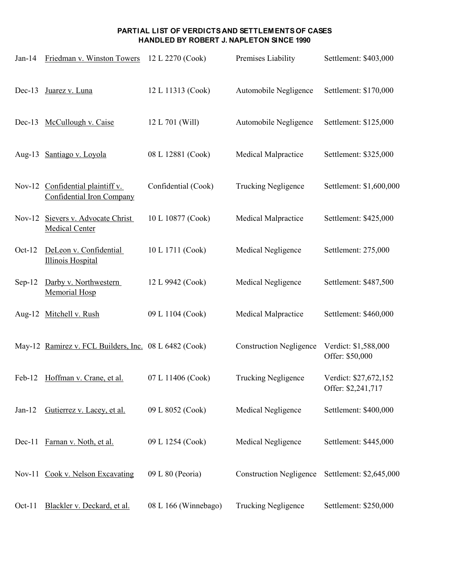| $Jan-14$ | Friedman v. Winston Towers                                    | 12 L 2270 (Cook)     | Premises Liability             | Settlement: \$403,000                       |
|----------|---------------------------------------------------------------|----------------------|--------------------------------|---------------------------------------------|
| $Dec-13$ | Juarez v. Luna                                                | 12 L 11313 (Cook)    | Automobile Negligence          | Settlement: \$170,000                       |
|          | Dec-13 McCullough v. Caise                                    | 12 L 701 (Will)      | Automobile Negligence          | Settlement: \$125,000                       |
|          | Aug-13 Santiago v. Loyola                                     | 08 L 12881 (Cook)    | Medical Malpractice            | Settlement: \$325,000                       |
|          | Nov-12 Confidential plaintiff v.<br>Confidential Iron Company | Confidential (Cook)  | <b>Trucking Negligence</b>     | Settlement: \$1,600,000                     |
| $Nov-12$ | Sievers v. Advocate Christ<br><b>Medical Center</b>           | 10 L 10877 (Cook)    | Medical Malpractice            | Settlement: \$425,000                       |
| $Oct-12$ | DeLeon v. Confidential<br><b>Illinois Hospital</b>            | 10 L 1711 (Cook)     | Medical Negligence             | Settlement: 275,000                         |
| $Sep-12$ | Darby v. Northwestern<br><b>Memorial Hosp</b>                 | 12 L 9942 (Cook)     | Medical Negligence             | Settlement: \$487,500                       |
|          | Aug-12 Mitchell v. Rush                                       | 09 L 1104 (Cook)     | <b>Medical Malpractice</b>     | Settlement: \$460,000                       |
|          | May-12 Ramirez v. FCL Builders, Inc. 08 L 6482 (Cook)         |                      | <b>Construction Negligence</b> | Verdict: \$1,588,000<br>Offer: \$50,000     |
| $Feb-12$ | Hoffman v. Crane, et al.                                      | 07 L 11406 (Cook)    | <b>Trucking Negligence</b>     | Verdict: \$27,672,152<br>Offer: \$2,241,717 |
| $Jan-12$ | Gutierrez v. Lacey, et al.                                    | 09 L 8052 (Cook)     | Medical Negligence             | Settlement: \$400,000                       |
| $Dec-11$ | Farnan v. Noth, et al.                                        | 09 L 1254 (Cook)     | Medical Negligence             | Settlement: \$445,000                       |
|          | Nov-11 Cook v. Nelson Excavating                              | 09 L 80 (Peoria)     | <b>Construction Negligence</b> | Settlement: \$2,645,000                     |
| Oct-11   | Blackler v. Deckard, et al.                                   | 08 L 166 (Winnebago) | <b>Trucking Negligence</b>     | Settlement: \$250,000                       |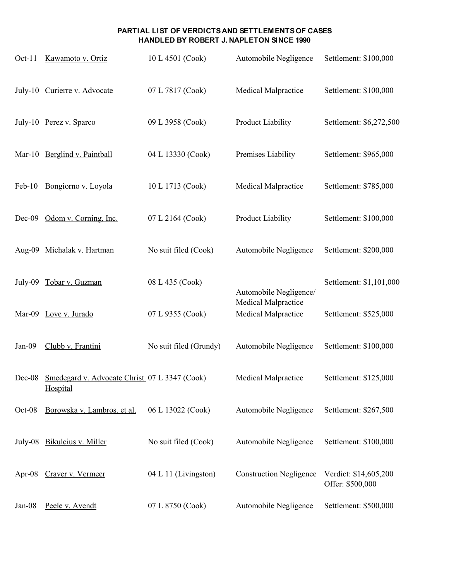| $Oct-11$ | Kawamoto v. Ortiz                                                | 10 L 4501 (Cook)       | Automobile Negligence                             | Settlement: \$100,000                     |
|----------|------------------------------------------------------------------|------------------------|---------------------------------------------------|-------------------------------------------|
|          | July-10 Curierre v. Advocate                                     | 07 L 7817 (Cook)       | Medical Malpractice                               | Settlement: \$100,000                     |
|          | July-10 Perez v. Sparco                                          | 09 L 3958 (Cook)       | Product Liability                                 | Settlement: \$6,272,500                   |
|          | Mar-10 Berglind v. Paintball                                     | 04 L 13330 (Cook)      | Premises Liability                                | Settlement: \$965,000                     |
| $Feb-10$ | Bongiorno v. Loyola                                              | 10 L 1713 (Cook)       | Medical Malpractice                               | Settlement: \$785,000                     |
| $Dec-09$ | Odom v. Corning, Inc.                                            | 07 L 2164 (Cook)       | Product Liability                                 | Settlement: \$100,000                     |
|          | Aug-09 Michalak v. Hartman                                       | No suit filed (Cook)   | Automobile Negligence                             | Settlement: \$200,000                     |
| July-09  | Tobar v. Guzman                                                  | 08 L 435 (Cook)        | Automobile Negligence/                            | Settlement: \$1,101,000                   |
|          | Mar-09 Love v. Jurado                                            | 07 L 9355 (Cook)       | <b>Medical Malpractice</b><br>Medical Malpractice | Settlement: \$525,000                     |
| $Jan-09$ | Clubb v. Frantini                                                | No suit filed (Grundy) | Automobile Negligence                             | Settlement: \$100,000                     |
|          | Dec-08 Smedegard v. Advocate Christ 07 L 3347 (Cook)<br>Hospital |                        | <b>Medical Malpractice</b>                        | Settlement: \$125,000                     |
| Oct-08   | Borowska v. Lambros, et al.                                      | 06 L 13022 (Cook)      | Automobile Negligence                             | Settlement: \$267,500                     |
|          | July-08 Bikulcius v. Miller                                      | No suit filed (Cook)   | Automobile Negligence                             | Settlement: \$100,000                     |
| Apr-08   | Craver v. Vermeer                                                | 04 L 11 (Livingston)   | <b>Construction Negligence</b>                    | Verdict: \$14,605,200<br>Offer: \$500,000 |
| Jan-08   | Peele v. Avendt                                                  | 07 L 8750 (Cook)       | Automobile Negligence                             | Settlement: \$500,000                     |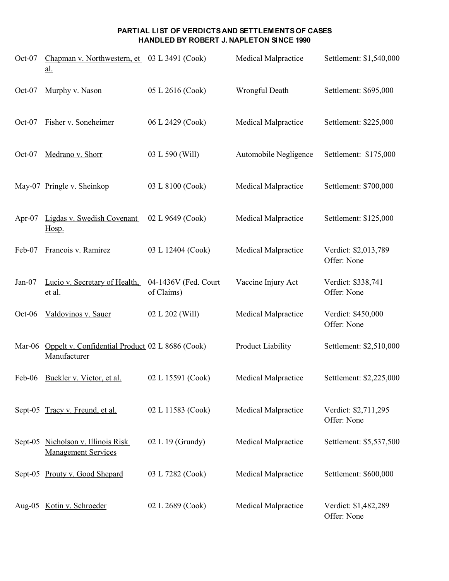| Oct-07    | Chapman v. Northwestern, et 03 L 3491 (Cook)<br><u>al.</u>       |                                    | Medical Malpractice        | Settlement: \$1,540,000             |
|-----------|------------------------------------------------------------------|------------------------------------|----------------------------|-------------------------------------|
| Oct-07    | Murphy v. Nason                                                  | 05 L 2616 (Cook)                   | Wrongful Death             | Settlement: \$695,000               |
| Oct-07    | Fisher v. Soneheimer                                             | 06 L 2429 (Cook)                   | <b>Medical Malpractice</b> | Settlement: \$225,000               |
| $Oct-07$  | Medrano v. Shorr                                                 | 03 L 590 (Will)                    | Automobile Negligence      | Settlement: \$175,000               |
|           | May-07 Pringle v. Sheinkop                                       | 03 L 8100 (Cook)                   | Medical Malpractice        | Settlement: \$700,000               |
| Apr- $07$ | Ligdas v. Swedish Covenant<br>Hosp.                              | 02 L 9649 (Cook)                   | Medical Malpractice        | Settlement: \$125,000               |
| Feb-07    | Francois v. Ramirez                                              | 03 L 12404 (Cook)                  | Medical Malpractice        | Verdict: \$2,013,789<br>Offer: None |
| $Jan-07$  | Lucio v. Secretary of Health,<br>et al.                          | 04-1436V (Fed. Court<br>of Claims) | Vaccine Injury Act         | Verdict: \$338,741<br>Offer: None   |
| $Oct-06$  | Valdovinos v. Sauer                                              | 02 L 202 (Will)                    | Medical Malpractice        | Verdict: \$450,000<br>Offer: None   |
| Mar-06    | Oppelt v. Confidential Product 02 L 8686 (Cook)<br>Manufacturer  |                                    | Product Liability          | Settlement: \$2,510,000             |
|           | Feb-06 Buckler v. Victor, et al.                                 | 02 L 15591 (Cook)                  | Medical Malpractice        | Settlement: \$2,225,000             |
|           | Sept-05 Tracy v. Freund, et al.                                  | 02 L 11583 (Cook)                  | Medical Malpractice        | Verdict: \$2,711,295<br>Offer: None |
|           | Sept-05 Nicholson v. Illinois Risk<br><b>Management Services</b> | 02 L 19 (Grundy)                   | Medical Malpractice        | Settlement: \$5,537,500             |
|           | Sept-05 Prouty v. Good Shepard                                   | 03 L 7282 (Cook)                   | Medical Malpractice        | Settlement: \$600,000               |
|           | Aug-05 Kotin v. Schroeder                                        | 02 L 2689 (Cook)                   | Medical Malpractice        | Verdict: \$1,482,289<br>Offer: None |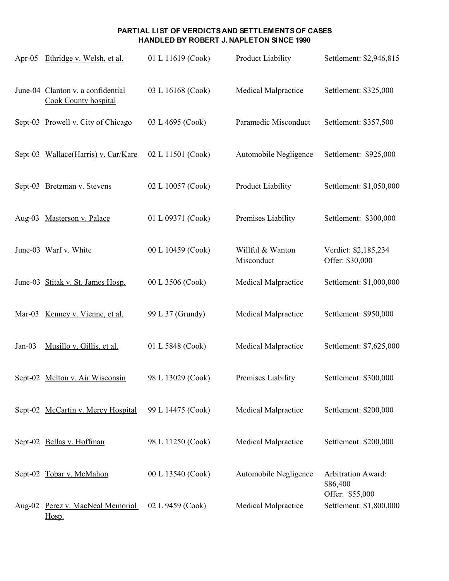|          | Apr-05 Ethridge v. Welsh, et al.                                 | 01 L 11619 (Cook) | <b>Product Liability</b>       | Settlement: \$2,946,815                    |
|----------|------------------------------------------------------------------|-------------------|--------------------------------|--------------------------------------------|
|          | June-04 Clanton v. a confidential<br><b>Cook County hospital</b> | 03 L 16168 (Cook) | <b>Medical Malpractice</b>     | Settlement: \$325,000                      |
|          | Sept-03 Prowell v. City of Chicago                               | 03 L 4695 (Cook)  | Paramedic Misconduct           | Settlement: \$357,500                      |
|          | Sept-03 Wallace(Harris) v. Car/Kare                              | 02 L 11501 (Cook) | Automobile Negligence          | Settlement: \$925,000                      |
|          | Sept-03 Bretzman v. Stevens                                      | 02 L 10057 (Cook) | <b>Product Liability</b>       | Settlement: \$1,050,000                    |
|          | Aug-03 Masterson v. Palace                                       | 01 L 09371 (Cook) | Premises Liability             | Settlement: \$300,000                      |
|          | June-03 Warf v. White                                            | 00 L 10459 (Cook) | Willful & Wanton<br>Misconduct | Verdict: \$2,185,234<br>Offer: \$30,000    |
|          | June-03 Stitak v. St. James Hosp.                                | 00 L 3506 (Cook)  | Medical Malpractice            | Settlement: \$1,000,000                    |
|          | Mar-03 Kenney v. Vienne, et al.                                  | 99 L 37 (Grundy)  | Medical Malpractice            | Settlement: \$950,000                      |
| $Jan-03$ | Musillo v. Gillis, et al.                                        | 01 L 5848 (Cook)  | <b>Medical Malpractice</b>     | Settlement: \$7,625,000                    |
|          | Sept-02 Melton v. Air Wisconsin                                  | 98 L 13029 (Cook) | Premises Liability             | Settlement: \$300,000                      |
|          | Sept-02 McCartin v. Mercy Hospital                               | 99 L 14475 (Cook) | Medical Malpractice            | Settlement: \$200,000                      |
|          | Sept-02 Bellas v. Hoffman                                        | 98 L 11250 (Cook) | <b>Medical Malpractice</b>     | Settlement: \$200,000                      |
|          | Sept-02 Tobar v. McMahon                                         | 00 L 13540 (Cook) | Automobile Negligence          | <b>Arbitration Award:</b><br>\$86,400      |
|          | Aug-02 Perez v. MacNeal Memorial<br>Hosp.                        | 02 L 9459 (Cook)  | Medical Malpractice            | Offer: \$55,000<br>Settlement: \$1,800,000 |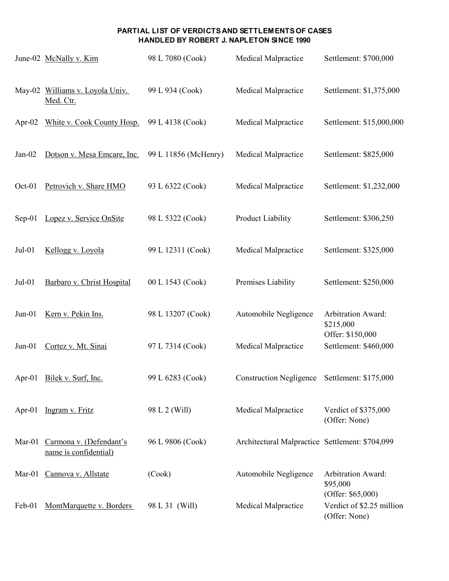|           | June-02 McNally v. Kim                           | 98 L 7080 (Cook)     | Medical Malpractice                             | Settlement: \$700,000                                        |
|-----------|--------------------------------------------------|----------------------|-------------------------------------------------|--------------------------------------------------------------|
|           | May-02 Williams v. Loyola Univ.<br>Med. Ctr.     | 99 L 934 (Cook)      | Medical Malpractice                             | Settlement: \$1,375,000                                      |
| Apr- $02$ | White v. Cook County Hosp.                       | 99 L 4138 (Cook)     | Medical Malpractice                             | Settlement: \$15,000,000                                     |
| $Jan-02$  | Dotson v. Mesa Emcare, Inc.                      | 99 L 11856 (McHenry) | Medical Malpractice                             | Settlement: \$825,000                                        |
| Oct-01    | Petrovich v. Share HMO                           | 93 L 6322 (Cook)     | Medical Malpractice                             | Settlement: \$1,232,000                                      |
| $Sep-01$  | Lopez v. Service OnSite                          | 98 L 5322 (Cook)     | Product Liability                               | Settlement: \$306,250                                        |
| $Jul-01$  | Kellogg v. Loyola                                | 99 L 12311 (Cook)    | Medical Malpractice                             | Settlement: \$325,000                                        |
| $Jul-01$  | Barbaro v. Christ Hospital                       | 00 L 1543 (Cook)     | Premises Liability                              | Settlement: \$250,000                                        |
| $Jun-01$  | Kern v. Pekin Ins.                               | 98 L 13207 (Cook)    | Automobile Negligence                           | <b>Arbitration Award:</b><br>\$215,000<br>Offer: \$150,000   |
| $Jun-01$  | Cortez v. Mt. Sinai                              | 97 L 7314 (Cook)     | <b>Medical Malpractice</b>                      | Settlement: \$460,000                                        |
| Apr- $01$ | Bilek v. Surf, Inc.                              | 99 L 6283 (Cook)     | <b>Construction Negligence</b>                  | Settlement: \$175,000                                        |
| Apr- $01$ | Ingram v. Fritz                                  | 98 L 2 (Will)        | Medical Malpractice                             | Verdict of \$375,000<br>(Offer: None)                        |
| Mar-01    | Carmona v. (Defendant's<br>name is confidential) | 96 L 9806 (Cook)     | Architectural Malpractice Settlement: \$704,099 |                                                              |
| $Mar-01$  | Cannova v. Allstate                              | (Cook)               | Automobile Negligence                           | <b>Arbitration Award:</b><br>\$95,000<br>(Offer: $$65,000$ ) |
| Feb-01    | MontMarquette v. Borders                         | 98 L 31 (Will)       | <b>Medical Malpractice</b>                      | Verdict of \$2.25 million<br>(Offer: None)                   |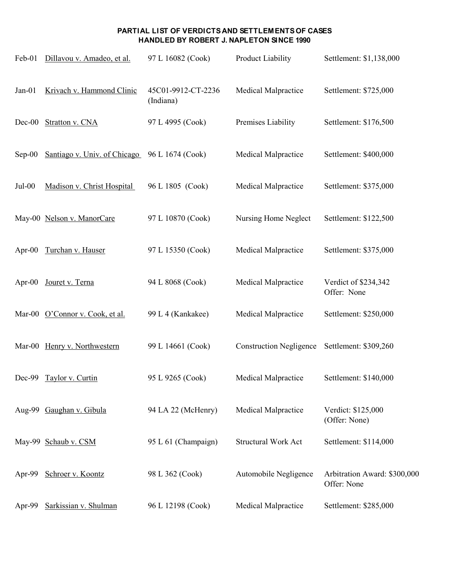| Feb-01    | Dillavou v. Amadeo, et al.      | 97 L 16082 (Cook)               | Product Liability              | Settlement: \$1,138,000                     |
|-----------|---------------------------------|---------------------------------|--------------------------------|---------------------------------------------|
| $Jan-01$  | Krivach v. Hammond Clinic       | 45C01-9912-CT-2236<br>(Indiana) | Medical Malpractice            | Settlement: \$725,000                       |
| $Dec-00$  | Stratton v. CNA                 | 97 L 4995 (Cook)                | Premises Liability             | Settlement: \$176,500                       |
| $Sep-00$  | Santiago v. Univ. of Chicago    | 96 L 1674 (Cook)                | Medical Malpractice            | Settlement: \$400,000                       |
| $Jul-00$  | Madison v. Christ Hospital      | 96 L 1805 (Cook)                | Medical Malpractice            | Settlement: \$375,000                       |
|           | May-00 Nelson v. ManorCare      | 97 L 10870 (Cook)               | Nursing Home Neglect           | Settlement: \$122,500                       |
| Apr- $00$ | Turchan v. Hauser               | 97 L 15350 (Cook)               | Medical Malpractice            | Settlement: \$375,000                       |
| Apr- $00$ | Jouret v. Terna                 | 94 L 8068 (Cook)                | Medical Malpractice            | Verdict of \$234,342<br>Offer: None         |
|           | Mar-00 O'Connor v. Cook, et al. | 99 L 4 (Kankakee)               | <b>Medical Malpractice</b>     | Settlement: \$250,000                       |
|           | Mar-00 Henry v. Northwestern    | 99 L 14661 (Cook)               | <b>Construction Negligence</b> | Settlement: \$309,260                       |
| Dec-99    | Taylor v. Curtin                | 95 L 9265 (Cook)                | <b>Medical Malpractice</b>     | Settlement: \$140,000                       |
|           | Aug-99 Gaughan v. Gibula        | 94 LA 22 (McHenry)              | <b>Medical Malpractice</b>     | Verdict: \$125,000<br>(Offer: None)         |
|           | May-99 Schaub v. CSM            | 95 L 61 (Champaign)             | <b>Structural Work Act</b>     | Settlement: \$114,000                       |
| Apr-99    | Schroer v. Koontz               | 98 L 362 (Cook)                 | Automobile Negligence          | Arbitration Award: \$300,000<br>Offer: None |
| Apr-99    | Sarkissian v. Shulman           | 96 L 12198 (Cook)               | Medical Malpractice            | Settlement: \$285,000                       |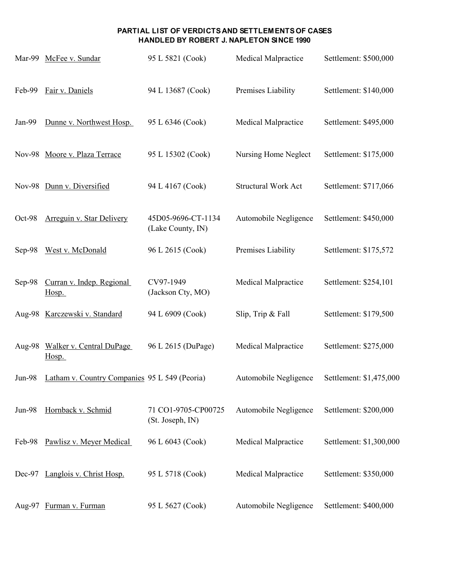|          | Mar-99 McFee v. Sundar                        | 95 L 5821 (Cook)                        | <b>Medical Malpractice</b> | Settlement: \$500,000   |
|----------|-----------------------------------------------|-----------------------------------------|----------------------------|-------------------------|
| Feb-99   | Fair v. Daniels                               | 94 L 13687 (Cook)                       | Premises Liability         | Settlement: \$140,000   |
| Jan-99   | Dunne v. Northwest Hosp.                      | 95 L 6346 (Cook)                        | Medical Malpractice        | Settlement: \$495,000   |
|          | Nov-98 Moore v. Plaza Terrace                 | 95 L 15302 (Cook)                       | Nursing Home Neglect       | Settlement: \$175,000   |
|          | Nov-98 Dunn v. Diversified                    | 94 L 4167 (Cook)                        | <b>Structural Work Act</b> | Settlement: \$717,066   |
| Oct-98   | Arreguin v. Star Delivery                     | 45D05-9696-CT-1134<br>(Lake County, IN) | Automobile Negligence      | Settlement: \$450,000   |
| Sep-98   | West v. McDonald                              | 96 L 2615 (Cook)                        | Premises Liability         | Settlement: \$175,572   |
| Sep-98   | Curran v. Indep. Regional<br>Hosp.            | CV97-1949<br>(Jackson Cty, MO)          | Medical Malpractice        | Settlement: \$254,101   |
|          | Aug-98 Karczewski v. Standard                 | 94 L 6909 (Cook)                        | Slip, Trip & Fall          | Settlement: \$179,500   |
| Aug-98   | Walker v. Central DuPage<br>Hosp.             | 96 L 2615 (DuPage)                      | <b>Medical Malpractice</b> | Settlement: \$275,000   |
| $Jun-98$ | Latham v. Country Companies 95 L 549 (Peoria) |                                         | Automobile Negligence      | Settlement: \$1,475,000 |
| Jun-98   | Hornback v. Schmid                            | 71 CO1-9705-CP00725<br>(St. Joseph, IN) | Automobile Negligence      | Settlement: \$200,000   |
| Feb-98   | Pawlisz v. Meyer Medical                      | 96 L 6043 (Cook)                        | Medical Malpractice        | Settlement: \$1,300,000 |
| $Dec-97$ | Langlois v. Christ Hosp.                      | 95 L 5718 (Cook)                        | <b>Medical Malpractice</b> | Settlement: \$350,000   |
| Aug-97   | Furman v. Furman                              | 95 L 5627 (Cook)                        | Automobile Negligence      | Settlement: \$400,000   |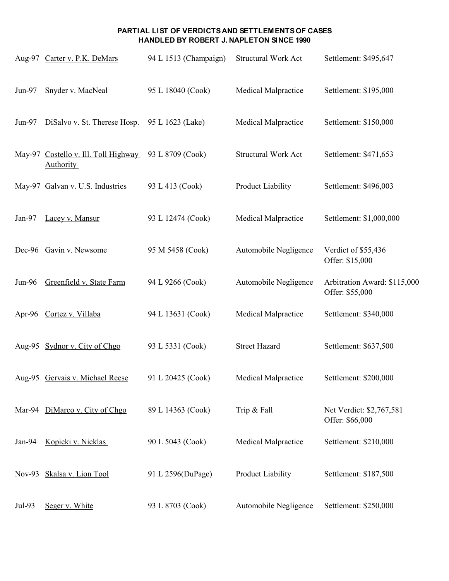|          | Aug-97 Carter v. P.K. DeMars                             | 94 L 1513 (Champaign) | Structural Work Act        | Settlement: \$495,647                           |
|----------|----------------------------------------------------------|-----------------------|----------------------------|-------------------------------------------------|
| Jun-97   | Snyder v. MacNeal                                        | 95 L 18040 (Cook)     | Medical Malpractice        | Settlement: \$195,000                           |
| $Jun-97$ | DiSalvo v. St. Therese Hosp. 95 L 1623 (Lake)            |                       | Medical Malpractice        | Settlement: \$150,000                           |
|          | May-97 Costello v. Ill. Toll Highway<br><b>Authority</b> | 93 L 8709 (Cook)      | <b>Structural Work Act</b> | Settlement: \$471,653                           |
|          | May-97 Galvan v. U.S. Industries                         | 93 L 413 (Cook)       | Product Liability          | Settlement: \$496,003                           |
| $Jan-97$ | Lacey v. Mansur                                          | 93 L 12474 (Cook)     | Medical Malpractice        | Settlement: \$1,000,000                         |
|          | Dec-96 Gavin v. Newsome                                  | 95 M 5458 (Cook)      | Automobile Negligence      | Verdict of \$55,436<br>Offer: \$15,000          |
| Jun-96   | Greenfield v. State Farm                                 | 94 L 9266 (Cook)      | Automobile Negligence      | Arbitration Award: \$115,000<br>Offer: \$55,000 |
|          | Apr-96 Cortez v. Villaba                                 | 94 L 13631 (Cook)     | Medical Malpractice        | Settlement: \$340,000                           |
|          | Aug-95 Sydnor v. City of Chgo                            | 93 L 5331 (Cook)      | <b>Street Hazard</b>       | Settlement: \$637,500                           |
|          | Aug-95 Gervais v. Michael Reese                          | 91 L 20425 (Cook)     | Medical Malpractice        | Settlement: \$200,000                           |
|          | Mar-94 DiMarco v. City of Chgo                           | 89 L 14363 (Cook)     | Trip & Fall                | Net Verdict: \$2,767,581<br>Offer: \$66,000     |
| $Jan-94$ | Kopicki v. Nicklas                                       | 90 L 5043 (Cook)      | Medical Malpractice        | Settlement: \$210,000                           |
|          | Nov-93 Skalsa v. Lion Tool                               | 91 L 2596(DuPage)     | Product Liability          | Settlement: \$187,500                           |
| Jul-93   | Seger v. White                                           | 93 L 8703 (Cook)      | Automobile Negligence      | Settlement: \$250,000                           |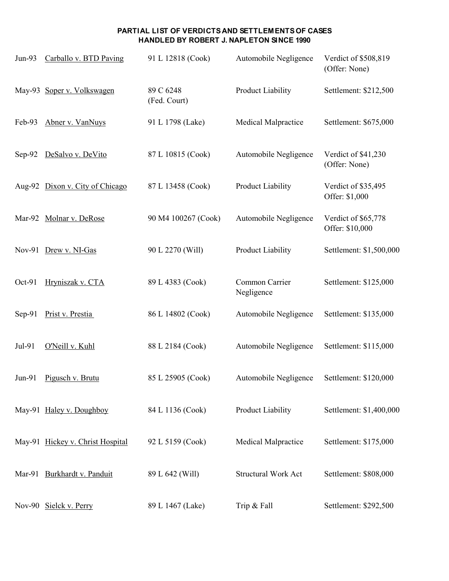| $Jun-93$ | Carballo v. BTD Paving           | 91 L 12818 (Cook)         | Automobile Negligence        | Verdict of \$508,819<br>(Offer: None)  |
|----------|----------------------------------|---------------------------|------------------------------|----------------------------------------|
|          | May-93 Soper v. Volkswagen       | 89 C 6248<br>(Fed. Court) | Product Liability            | Settlement: \$212,500                  |
| Feb-93   | Abner v. VanNuys                 | 91 L 1798 (Lake)          | Medical Malpractice          | Settlement: \$675,000                  |
| Sep-92   | DeSalvo v. DeVito                | 87 L 10815 (Cook)         | Automobile Negligence        | Verdict of \$41,230<br>(Offer: None)   |
|          | Aug-92 Dixon v. City of Chicago  | 87 L 13458 (Cook)         | Product Liability            | Verdict of \$35,495<br>Offer: \$1,000  |
| Mar-92   | Molnar v. DeRose                 | 90 M4 100267 (Cook)       | Automobile Negligence        | Verdict of \$65,778<br>Offer: \$10,000 |
|          | Nov-91 Drew v. NI-Gas            | 90 L 2270 (Will)          | Product Liability            | Settlement: \$1,500,000                |
| Oct-91   | Hryniszak v. CTA                 | 89 L 4383 (Cook)          | Common Carrier<br>Negligence | Settlement: \$125,000                  |
| Sep-91   | Prist v. Prestia                 | 86 L 14802 (Cook)         | Automobile Negligence        | Settlement: \$135,000                  |
| Jul-91   | O'Neill v. Kuhl                  | 88 L 2184 (Cook)          | Automobile Negligence        | Settlement: \$115,000                  |
| $Jun-91$ | Pigusch v. Brutu                 | 85 L 25905 (Cook)         | Automobile Negligence        | Settlement: \$120,000                  |
|          | May-91 Haley v. Doughboy         | 84 L 1136 (Cook)          | Product Liability            | Settlement: \$1,400,000                |
|          | May-91 Hickey v. Christ Hospital | 92 L 5159 (Cook)          | Medical Malpractice          | Settlement: \$175,000                  |
|          | Mar-91 Burkhardt v. Panduit      | 89 L 642 (Will)           | Structural Work Act          | Settlement: \$808,000                  |
|          | Nov-90 Sielck v. Perry           | 89 L 1467 (Lake)          | Trip & Fall                  | Settlement: \$292,500                  |